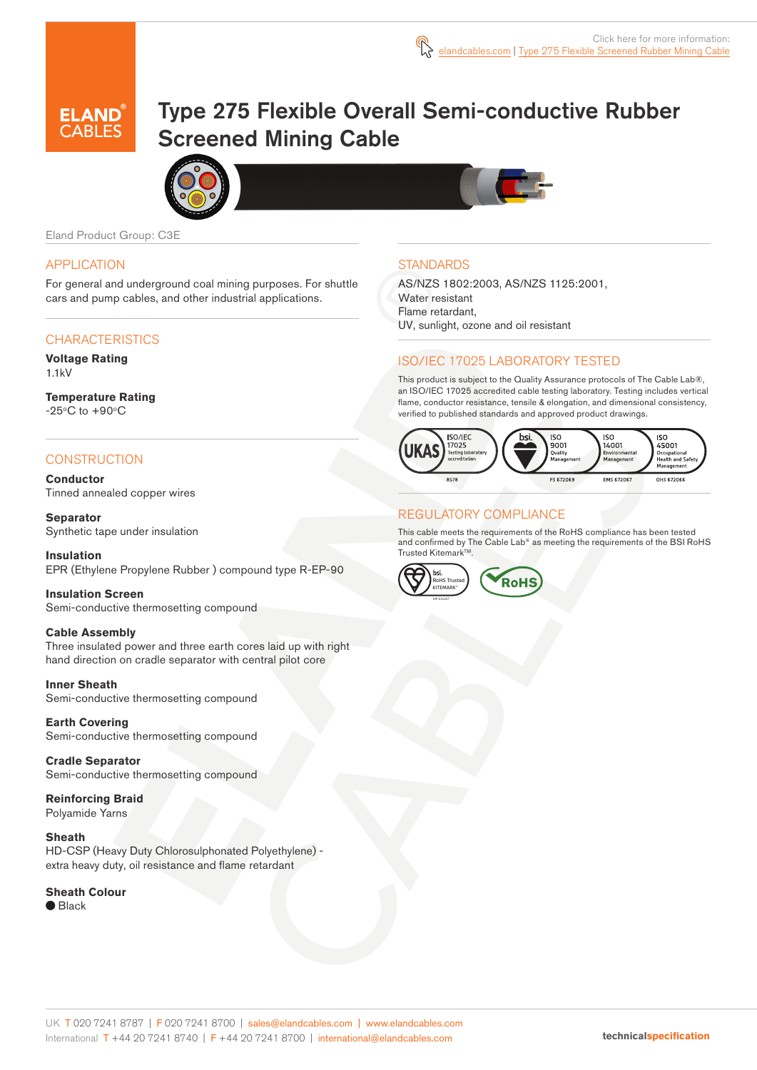



# Type 275 Flexible Overall Semi-conductive Rubber Screened Mining Cable





Eland Product Group: C3E

# APPLICATION

For general and underground coal mining purposes. For shuttle cars and pump cables, and other industrial applications.

#### **CHARACTERISTICS**

**Voltage Rating** 1.1kV

**Temperature Rating**  $-25^{\circ}$ C to  $+90^{\circ}$ C

# **CONSTRUCTION**

**Conductor** Tinned annealed copper wires

**Separator** Synthetic tape under insulation

**Insulation** EPR (Ethylene Propylene Rubber ) compound type R-EP-90

**Insulation Screen** Semi-conductive thermosetting compound

#### **Cable Assembly**

Three insulated power and three earth cores laid up with right hand direction on cradle separator with central pilot core

**Inner Sheath**

Semi-conductive thermosetting compound

**Earth Covering**  Semi-conductive thermosetting compound

**Cradle Separator** Semi-conductive thermosetting compound

**Reinforcing Braid**  Polyamide Yarns

#### **Sheath**

HD-CSP (Heavy Duty Chlorosulphonated Polyethylene) extra heavy duty, oil resistance and flame retardant

#### **Sheath Colour**

● Black

# **STANDARDS**

AS/NZS 1802:2003, AS/NZS 1125:2001, Water resistant Flame retardant, UV, sunlight, ozone and oil resistant

# ISO/IEC 17025 LABORATORY TESTED

This product is subject to the Quality Assurance protocols of The Cable Lab®, an ISO/IEC 17025 accredited cable testing laboratory. Testing includes vertical flame, conductor resistance, tensile & elongation, and dimensional consistency, verified to published standards and approved product drawings.



# REGULATORY COMPLIANCE

This cable meets the requirements of the RoHS compliance has been tested and confirmed by The Cable Lab® as meeting the requirements of the BSI RoHS Trusted Kitemark™.